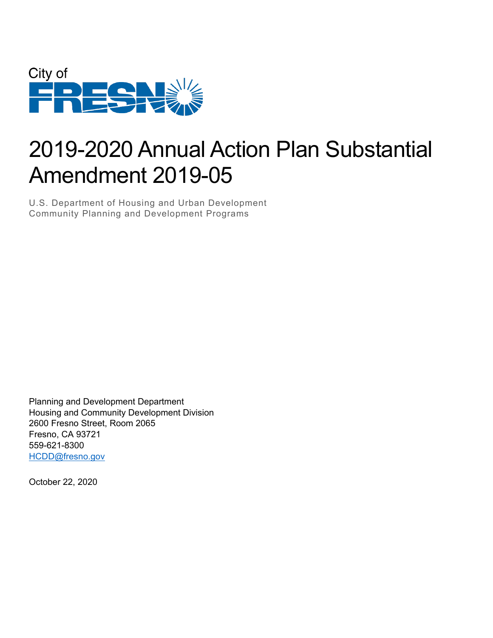

# 2019-2020 Annual Action Plan Substantial Amendment 2019-05

U.S. Department of Housing and Urban Development Community Planning and Development Programs

Planning and Development Department Housing and Community Development Division 2600 Fresno Street, Room 2065 Fresno, CA 93721 559-621-8300 [HCDD@fresno.gov](mailto:HCDD@fresno.gov) 

October 22, 2020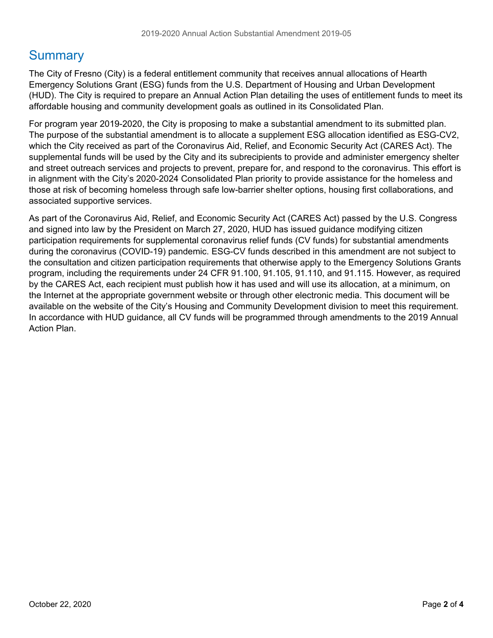## **Summary**

The City of Fresno (City) is a federal entitlement community that receives annual allocations of Hearth Emergency Solutions Grant (ESG) funds from the U.S. Department of Housing and Urban Development (HUD). The City is required to prepare an Annual Action Plan detailing the uses of entitlement funds to meet its affordable housing and community development goals as outlined in its Consolidated Plan.

 For program year 2019-2020, the City is proposing to make a substantial amendment to its submitted plan. The purpose of the substantial amendment is to allocate a supplement ESG allocation identified as ESG-CV2, which the City received as part of the Coronavirus Aid, Relief, and Economic Security Act (CARES Act). The supplemental funds will be used by the City and its subrecipients to provide and administer emergency shelter and street outreach services and projects to prevent, prepare for, and respond to the coronavirus. This effort is in alignment with the City's 2020-2024 Consolidated Plan priority to provide assistance for the homeless and those at risk of becoming homeless through safe low-barrier shelter options, housing first collaborations, and associated supportive services.

As part of the Coronavirus Aid, Relief, and Economic Security Act (CARES Act) passed by the U.S. Congress and signed into law by the President on March 27, 2020, HUD has issued guidance modifying citizen participation requirements for supplemental coronavirus relief funds (CV funds) for substantial amendments during the coronavirus (COVID-19) pandemic. ESG-CV funds described in this amendment are not subject to the consultation and citizen participation requirements that otherwise apply to the Emergency Solutions Grants program, including the requirements under 24 CFR 91.100, 91.105, 91.110, and 91.115. However, as required by the CARES Act, each recipient must publish how it has used and will use its allocation, at a minimum, on the Internet at the appropriate government website or through other electronic media. This document will be available on the website of the City's Housing and Community Development division to meet this requirement. In accordance with HUD guidance, all CV funds will be programmed through amendments to the 2019 Annual Action Plan.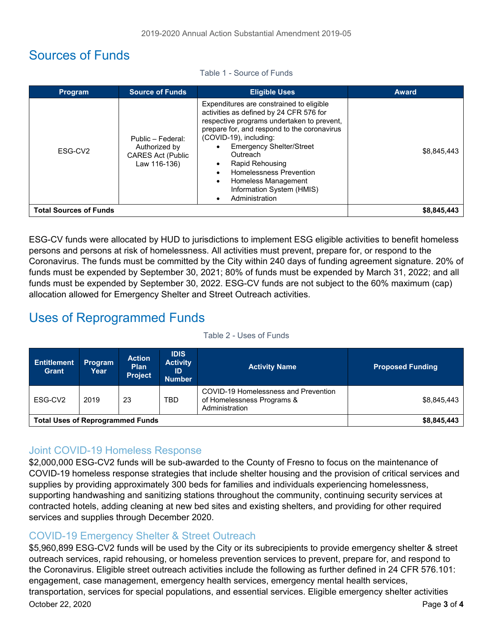## Sources of Funds

| <b>Program</b>                | <b>Source of Funds</b>                                                         | <b>Eligible Uses</b>                                                                                                                                                                                                                                                                                                                                                                                                 | <b>Award</b> |
|-------------------------------|--------------------------------------------------------------------------------|----------------------------------------------------------------------------------------------------------------------------------------------------------------------------------------------------------------------------------------------------------------------------------------------------------------------------------------------------------------------------------------------------------------------|--------------|
| ESG-CV <sub>2</sub>           | Public - Federal:<br>Authorized by<br><b>CARES Act (Public</b><br>Law 116-136) | Expenditures are constrained to eligible<br>activities as defined by 24 CFR 576 for<br>respective programs undertaken to prevent,<br>prepare for, and respond to the coronavirus<br>(COVID-19), including:<br><b>Emergency Shelter/Street</b><br>Outreach<br>Rapid Rehousing<br>$\bullet$<br>Homelessness Prevention<br>$\bullet$<br>Homeless Management<br>$\bullet$<br>Information System (HMIS)<br>Administration | \$8,845,443  |
| <b>Total Sources of Funds</b> |                                                                                |                                                                                                                                                                                                                                                                                                                                                                                                                      | \$8,845,443  |

Table 1 - Source of Funds

ESG-CV funds were allocated by HUD to jurisdictions to implement ESG eligible activities to benefit homeless persons and persons at risk of homelessness. All activities must prevent, prepare for, or respond to the Coronavirus. The funds must be committed by the City within 240 days of funding agreement signature. 20% of funds must be expended by September 30, 2021; 80% of funds must be expended by March 31, 2022; and all funds must be expended by September 30, 2022. ESG-CV funds are not subject to the 60% maximum (cap) allocation allowed for Emergency Shelter and Street Outreach activities.

## Uses of Reprogrammed Funds

| Table 2 - Uses of Funds |  |
|-------------------------|--|
|-------------------------|--|

| <b>Entitlement</b><br><b>Grant</b>      | Program<br>Year | <b>Action</b><br><b>Plan</b><br><b>Project</b> | <b>IDIS</b><br><b>Activity</b><br>ID<br><b>Number</b> | <b>Activity Name</b>                                                                 | <b>Proposed Funding</b> |
|-----------------------------------------|-----------------|------------------------------------------------|-------------------------------------------------------|--------------------------------------------------------------------------------------|-------------------------|
| ESG-CV <sub>2</sub>                     | 2019            | 23                                             | <b>TBD</b>                                            | COVID-19 Homelessness and Prevention<br>of Homelessness Programs &<br>Administration | \$8,845,443             |
| <b>Total Uses of Reprogrammed Funds</b> |                 |                                                | \$8,845,443                                           |                                                                                      |                         |

#### Joint COVID-19 Homeless Response

 \$2,000,000 ESG-CV2 funds will be sub-awarded to the County of Fresno to focus on the maintenance of COVID-19 homeless response strategies that include shelter housing and the provision of critical services and supplies by providing approximately 300 beds for families and individuals experiencing homelessness, supporting handwashing and sanitizing stations throughout the community, continuing security services at contracted hotels, adding cleaning at new bed sites and existing shelters, and providing for other required services and supplies through December 2020.

### COVID-19 Emergency Shelter & Street Outreach

\$5,960,899 ESG-CV2 funds will be used by the City or its subrecipients to provide emergency shelter & street outreach services, rapid rehousing, or homeless prevention services to prevent, prepare for, and respond to the Coronavirus. Eligible street outreach activities include the following as further defined in 24 CFR 576.101: engagement, case management, emergency health services, emergency mental health services, transportation, services for special populations, and essential services. Eligible emergency shelter activities October 22, 2020 Page **3** of **4**